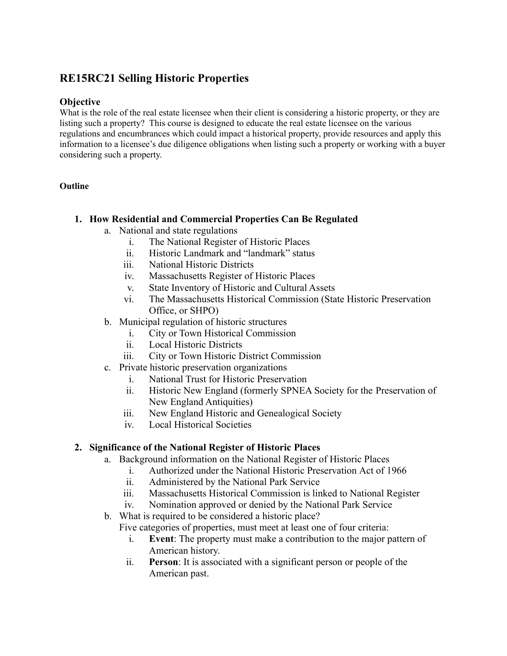# **RE15RC21 Selling Historic Properties**

### **Objective**

What is the role of the real estate licensee when their client is considering a historic property, or they are listing such a property? This course is designed to educate the real estate licensee on the various regulations and encumbrances which could impact a historical property, provide resources and apply this information to a licensee's due diligence obligations when listing such a property or working with a buyer considering such a property.

#### **Outline**

### **1. How Residential and Commercial Properties Can Be Regulated**

- a. National and state regulations
	- i. The National Register of Historic Places
	- ii. Historic Landmark and "landmark" status
	- iii. National Historic Districts
	- iv. Massachusetts Register of Historic Places
	- v. State Inventory of Historic and Cultural Assets
	- vi. The Massachusetts Historical Commission (State Historic Preservation Office, or SHPO)
- b. Municipal regulation of historic structures
	- i. City or Town Historical Commission
	- ii. Local Historic Districts
	- iii. City or Town Historic District Commission
- c. Private historic preservation organizations
	- i. National Trust for Historic Preservation
	- ii. Historic New England (formerly SPNEA Society for the Preservation of New England Antiquities)
	- iii. New England Historic and Genealogical Society
	- iv. Local Historical Societies

### **2. Significance of the National Register of Historic Places**

- a. Background information on the National Register of Historic Places
	- i. Authorized under the National Historic Preservation Act of 1966
	- ii. Administered by the National Park Service
	- iii. Massachusetts Historical Commission is linked to National Register
	- iv. Nomination approved or denied by the National Park Service
- b. What is required to be considered a historic place?
	- Five categories of properties, must meet at least one of four criteria:
		- i. **Event**: The property must make a contribution to the major pattern of American history.
		- ii. **Person**: It is associated with a significant person or people of the American past.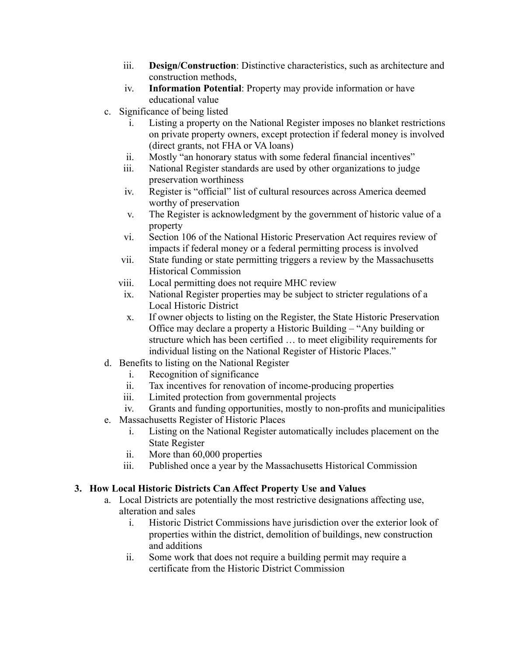- iii. **Design/Construction**: Distinctive characteristics, such as architecture and construction methods,
- iv. **Information Potential**: Property may provide information or have educational value
- c. Significance of being listed
	- i. Listing a property on the National Register imposes no blanket restrictions on private property owners, except protection if federal money is involved (direct grants, not FHA or VA loans)
	- ii. Mostly "an honorary status with some federal financial incentives"
	- iii. National Register standards are used by other organizations to judge preservation worthiness
	- iv. Register is "official" list of cultural resources across America deemed worthy of preservation
	- v. The Register is acknowledgment by the government of historic value of a property
	- vi. Section 106 of the National Historic Preservation Act requires review of impacts if federal money or a federal permitting process is involved
	- vii. State funding or state permitting triggers a review by the Massachusetts Historical Commission
	- viii. Local permitting does not require MHC review
	- ix. National Register properties may be subject to stricter regulations of a Local Historic District
	- x. If owner objects to listing on the Register, the State Historic Preservation Office may declare a property a Historic Building – "Any building or structure which has been certified … to meet eligibility requirements for individual listing on the National Register of Historic Places."
- d. Benefits to listing on the National Register
	- i. Recognition of significance
	- ii. Tax incentives for renovation of income-producing properties
	- iii. Limited protection from governmental projects
- iv. Grants and funding opportunities, mostly to non-profits and municipalities
- e. Massachusetts Register of Historic Places
	- i. Listing on the National Register automatically includes placement on the State Register
	- ii. More than 60,000 properties
	- iii. Published once a year by the Massachusetts Historical Commission

## **3. How Local Historic Districts Can Affect Property Use and Values**

- a. Local Districts are potentially the most restrictive designations affecting use, alteration and sales
	- i. Historic District Commissions have jurisdiction over the exterior look of properties within the district, demolition of buildings, new construction and additions
	- ii. Some work that does not require a building permit may require a certificate from the Historic District Commission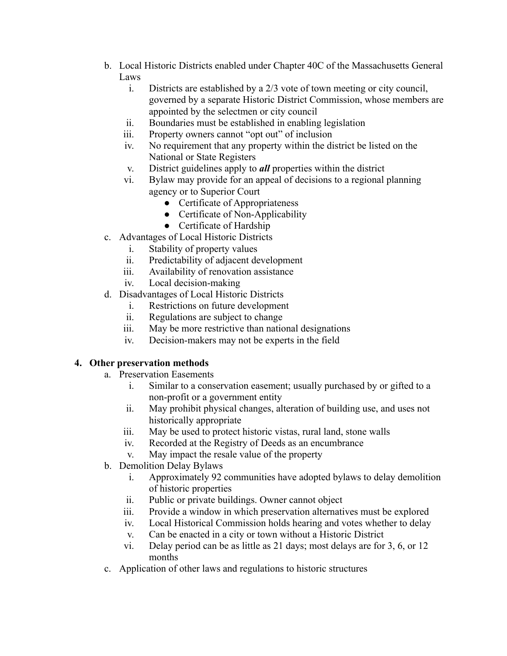- b. Local Historic Districts enabled under Chapter 40C of the Massachusetts General Laws
	- i. Districts are established by a 2/3 vote of town meeting or city council, governed by a separate Historic District Commission, whose members are appointed by the selectmen or city council
	- ii. Boundaries must be established in enabling legislation
	- iii. Property owners cannot "opt out" of inclusion
	- iv. No requirement that any property within the district be listed on the National or State Registers
	- v. District guidelines apply to *all* properties within the district
	- vi. Bylaw may provide for an appeal of decisions to a regional planning agency or to Superior Court
		- Certificate of Appropriateness
		- Certificate of Non-Applicability
		- Certificate of Hardship
- c. Advantages of Local Historic Districts
	- i. Stability of property values
	- ii. Predictability of adjacent development
	- iii. Availability of renovation assistance
	- iv. Local decision-making
- d. Disadvantages of Local Historic Districts
	- i. Restrictions on future development
	- ii. Regulations are subject to change
	- iii. May be more restrictive than national designations
	- iv. Decision-makers may not be experts in the field

### **4. Other preservation methods**

- a. Preservation Easements
	- i. Similar to a conservation easement; usually purchased by or gifted to a non-profit or a government entity
	- ii. May prohibit physical changes, alteration of building use, and uses not historically appropriate
	- iii. May be used to protect historic vistas, rural land, stone walls
	- iv. Recorded at the Registry of Deeds as an encumbrance
	- v. May impact the resale value of the property
- b. Demolition Delay Bylaws
	- i. Approximately 92 communities have adopted bylaws to delay demolition of historic properties
	- ii. Public or private buildings. Owner cannot object
	- iii. Provide a window in which preservation alternatives must be explored
	- iv. Local Historical Commission holds hearing and votes whether to delay
	- v. Can be enacted in a city or town without a Historic District
	- vi. Delay period can be as little as 21 days; most delays are for 3, 6, or 12 months
- c. Application of other laws and regulations to historic structures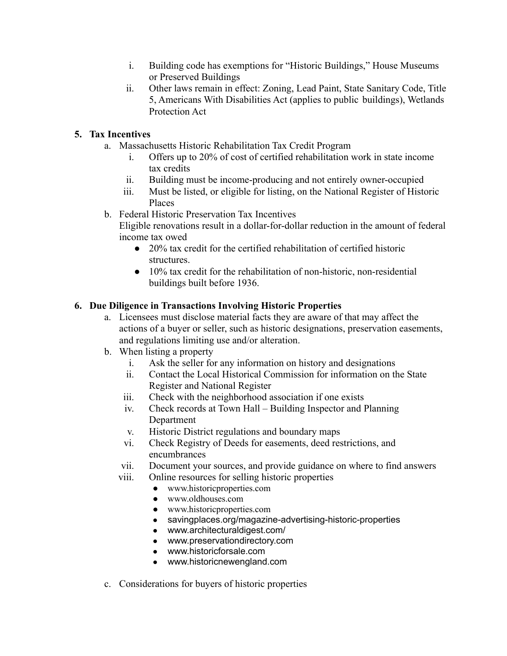- i. Building code has exemptions for "Historic Buildings," House Museums or Preserved Buildings
- ii. Other laws remain in effect: Zoning, Lead Paint, State Sanitary Code, Title 5, Americans With Disabilities Act (applies to public buildings), Wetlands Protection Act

# **5. Tax Incentives**

- a. Massachusetts Historic Rehabilitation Tax Credit Program
	- i. Offers up to 20% of cost of certified rehabilitation work in state income tax credits
	- ii. Building must be income-producing and not entirely owner-occupied
	- iii. Must be listed, or eligible for listing, on the National Register of Historic Places
- b. Federal Historic Preservation Tax Incentives

Eligible renovations result in a dollar-for-dollar reduction in the amount of federal income tax owed

- 20% tax credit for the certified rehabilitation of certified historic structures.
- 10% tax credit for the rehabilitation of non-historic, non-residential buildings built before 1936.

## **6. Due Diligence in Transactions Involving Historic Properties**

- a. Licensees must disclose material facts they are aware of that may affect the actions of a buyer or seller, such as historic designations, preservation easements, and regulations limiting use and/or alteration.
- b. When listing a property
	- i. Ask the seller for any information on history and designations
	- ii. Contact the Local Historical Commission for information on the State Register and National Register
	- iii. Check with the neighborhood association if one exists
	- iv. Check records at Town Hall Building Inspector and Planning Department
	- v. Historic District regulations and boundary maps
	- vi. Check Registry of Deeds for easements, deed restrictions, and encumbrances
	- vii. Document your sources, and provide guidance on where to find answers
	- viii. Online resources for selling historic properties
		- [www.historicproperties.com](http://www.historicproperties.com/)
			- [www.oldhouses.com](http://www.oldhouses.com/)
			- [www.historicproperties.com](http://www.historicproperties.com/)
			- [savingplaces.org/magazine-advertising-historic-properties](https://savingplaces.org/magazine-advertising-historic-properties)
			- [www.architecturaldigest.com/](https://www.architecturaldigest.com/)
			- [www.preservationdirectory.com](https://www.preservationdirectory.com)
			- [www.historicforsale.com](https://www.historicforsale.com)
			- [www.historicnewengland.com](https://www.historicnewengland.com)
- c. Considerations for buyers of historic properties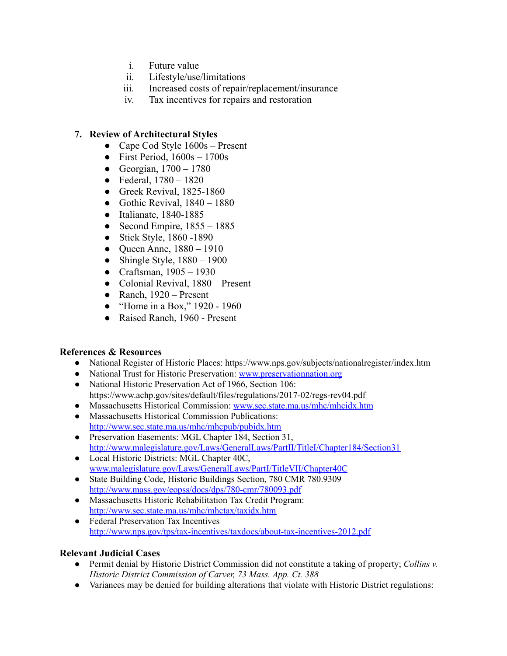- i. Future value
- ii. Lifestyle/use/limitations
- iii. Increased costs of repair/replacement/insurance
- iv. Tax incentives for repairs and restoration

### **7. Review of Architectural Styles**

- Cape Cod Style 1600s Present
- First Period,  $1600s 1700s$
- Georgian,  $1700 1780$
- Federal,  $1780 1820$
- Greek Revival, 1825-1860
- Gothic Revival,  $1840 1880$
- Italianate, 1840-1885
- Second Empire,  $1855 1885$
- Stick Style, 1860 -1890
- Queen Anne,  $1880 1910$
- Shingle Style,  $1880 1900$
- Craftsman,  $1905 1930$
- Colonial Revival, 1880 Present
- Ranch,  $1920$  Present
- "Home in a Box," 1920 1960
- Raised Ranch, 1960 Present

### **References & Resources**

- National Register of Historic Places: https://www.nps.gov/subjects/nationalregister/index.htm
- National Trust for Historic Preservation: [www.preservationnation.org](http://www.preservationnation.org)
- National Historic Preservation Act of 1966, Section 106: https://www.achp.gov/sites/default/files/regulations/2017-02/regs-rev04.pdf
- Massachusetts Historical Commission: [www.sec.state.ma.us/mhc/mhcidx.htm](http://www.sec.state.ma.us/mhc/mhcidx.htm)
- Massachusetts Historical Commission Publications: <http://www.sec.state.ma.us/mhc/mhcpub/pubidx.htm>
- Preservation Easements: MGL Chapter 184, Section 31, <http://www.malegislature.gov/Laws/GeneralLaws/PartII/TitleI/Chapter184/Section31>
- Local Historic Districts: MGL Chapter 40C, [www.malegislature.gov/Laws/GeneralLaws/PartI/TitleVII/Chapter40C](http://www.malegislature.gov/Laws/GeneralLaws/PartI/TitleVII/Chapter40C)
- State Building Code, Historic Buildings Section, 780 CMR 780.9309 <http://www.mass.gov/eopss/docs/dps/780-cmr/780093.pdf>
- Massachusetts Historic Rehabilitation Tax Credit Program: <http://www.sec.state.ma.us/mhc/mhctax/taxidx.htm>
- Federal Preservation Tax Incentives <http://www.nps.gov/tps/tax-incentives/taxdocs/about-tax-incentives-2012.pdf>

### **Relevant Judicial Cases**

- Permit denial by Historic District Commission did not constitute a taking of property; *Collins v. Historic District Commission of Carver, 73 Mass. App. Ct. 388*
- Variances may be denied for building alterations that violate with Historic District regulations: